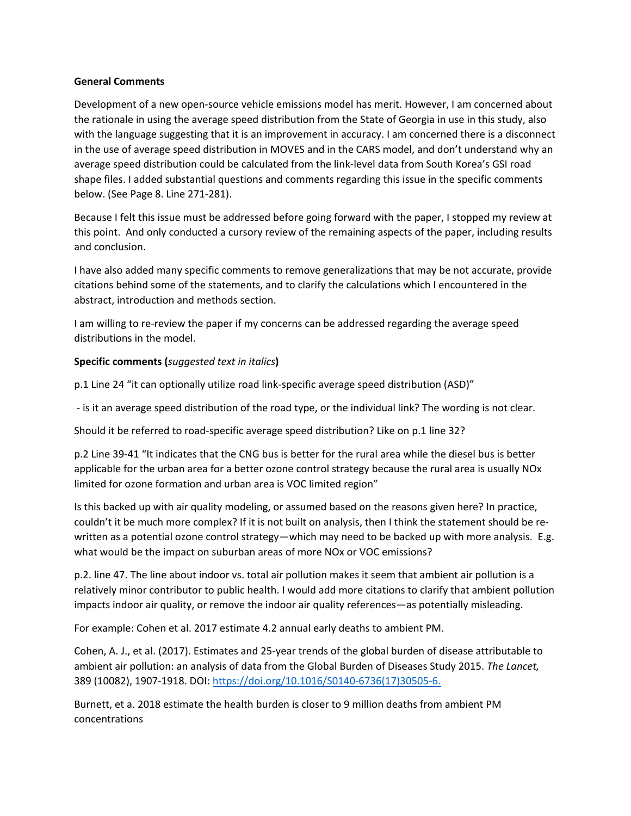### **General Comments**

Development of a new open-source vehicle emissions model has merit. However, I am concerned about the rationale in using the average speed distribution from the State of Georgia in use in this study, also with the language suggesting that it is an improvement in accuracy. I am concerned there is a disconnect in the use of average speed distribution in MOVES and in the CARS model, and don't understand why an average speed distribution could be calculated from the link-level data from South Korea's GSI road shape files. I added substantial questions and comments regarding this issue in the specific comments below. (See Page 8. Line 271-281).

Because I felt this issue must be addressed before going forward with the paper, I stopped my review at this point. And only conducted a cursory review of the remaining aspects of the paper, including results and conclusion.

I have also added many specific comments to remove generalizations that may be not accurate, provide citations behind some of the statements, and to clarify the calculations which I encountered in the abstract, introduction and methods section.

I am willing to re-review the paper if my concerns can be addressed regarding the average speed distributions in the model.

## **Specific comments (***suggested text in italics***)**

p.1 Line 24 "it can optionally utilize road link-specific average speed distribution (ASD)"

- is it an average speed distribution of the road type, or the individual link? The wording is not clear.

Should it be referred to road-specific average speed distribution? Like on p.1 line 32?

p.2 Line 39-41 "It indicates that the CNG bus is better for the rural area while the diesel bus is better applicable for the urban area for a better ozone control strategy because the rural area is usually NOx limited for ozone formation and urban area is VOC limited region"

Is this backed up with air quality modeling, or assumed based on the reasons given here? In practice, couldn't it be much more complex? If it is not built on analysis, then I think the statement should be rewritten as a potential ozone control strategy—which may need to be backed up with more analysis. E.g. what would be the impact on suburban areas of more NOx or VOC emissions?

p.2. line 47. The line about indoor vs. total air pollution makes it seem that ambient air pollution is a relatively minor contributor to public health. I would add more citations to clarify that ambient pollution impacts indoor air quality, or remove the indoor air quality references—as potentially misleading.

For example: Cohen et al. 2017 estimate 4.2 annual early deaths to ambient PM.

Cohen, A. J., et al. (2017). Estimates and 25-year trends of the global burden of disease attributable to ambient air pollution: an analysis of data from the Global Burden of Diseases Study 2015. *The Lancet,* 389 (10082), 1907-1918. DOI: [https://doi.org/10.1016/S0140-6736\(17\)30505-6.](https://doi.org/10.1016/S0140-6736(17)30505-6)

Burnett, et a. 2018 estimate the health burden is closer to 9 million deaths from ambient PM concentrations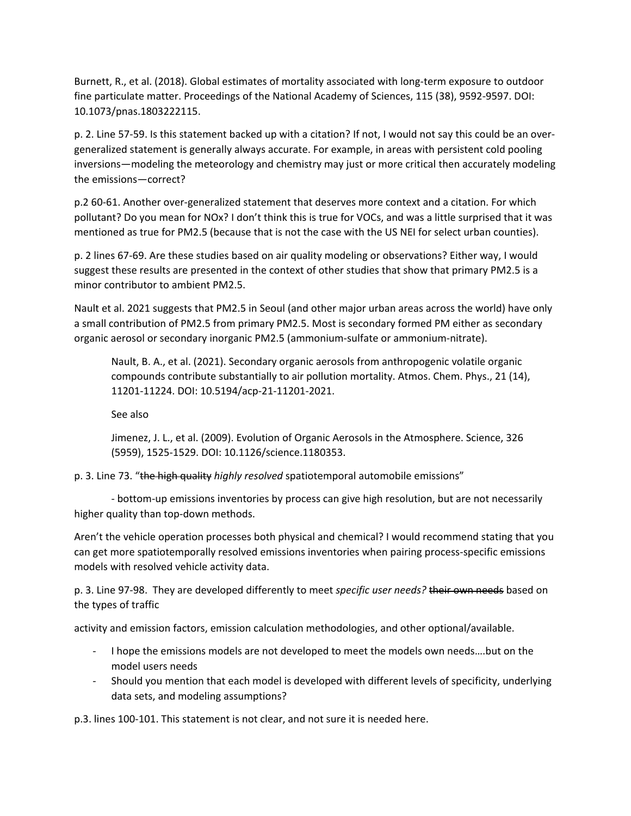Burnett, R., et al. (2018). Global estimates of mortality associated with long-term exposure to outdoor fine particulate matter. Proceedings of the National Academy of Sciences, 115 (38), 9592-9597. DOI: 10.1073/pnas.1803222115.

p. 2. Line 57-59. Is this statement backed up with a citation? If not, I would not say this could be an overgeneralized statement is generally always accurate. For example, in areas with persistent cold pooling inversions—modeling the meteorology and chemistry may just or more critical then accurately modeling the emissions—correct?

p.2 60-61. Another over-generalized statement that deserves more context and a citation. For which pollutant? Do you mean for NOx? I don't think this is true for VOCs, and was a little surprised that it was mentioned as true for PM2.5 (because that is not the case with the US NEI for select urban counties).

p. 2 lines 67-69. Are these studies based on air quality modeling or observations? Either way, I would suggest these results are presented in the context of other studies that show that primary PM2.5 is a minor contributor to ambient PM2.5.

Nault et al. 2021 suggests that PM2.5 in Seoul (and other major urban areas across the world) have only a small contribution of PM2.5 from primary PM2.5. Most is secondary formed PM either as secondary organic aerosol or secondary inorganic PM2.5 (ammonium-sulfate or ammonium-nitrate).

Nault, B. A., et al. (2021). Secondary organic aerosols from anthropogenic volatile organic compounds contribute substantially to air pollution mortality. Atmos. Chem. Phys., 21 (14), 11201-11224. DOI: 10.5194/acp-21-11201-2021.

See also

Jimenez, J. L., et al. (2009). Evolution of Organic Aerosols in the Atmosphere. Science, 326 (5959), 1525-1529. DOI: 10.1126/science.1180353.

p. 3. Line 73. "the high quality *highly resolved* spatiotemporal automobile emissions"

- bottom-up emissions inventories by process can give high resolution, but are not necessarily higher quality than top-down methods.

Aren't the vehicle operation processes both physical and chemical? I would recommend stating that you can get more spatiotemporally resolved emissions inventories when pairing process-specific emissions models with resolved vehicle activity data.

p. 3. Line 97-98. They are developed differently to meet *specific user needs?* their own needs based on the types of traffic

activity and emission factors, emission calculation methodologies, and other optional/available.

- I hope the emissions models are not developed to meet the models own needs….but on the model users needs
- Should you mention that each model is developed with different levels of specificity, underlying data sets, and modeling assumptions?

p.3. lines 100-101. This statement is not clear, and not sure it is needed here.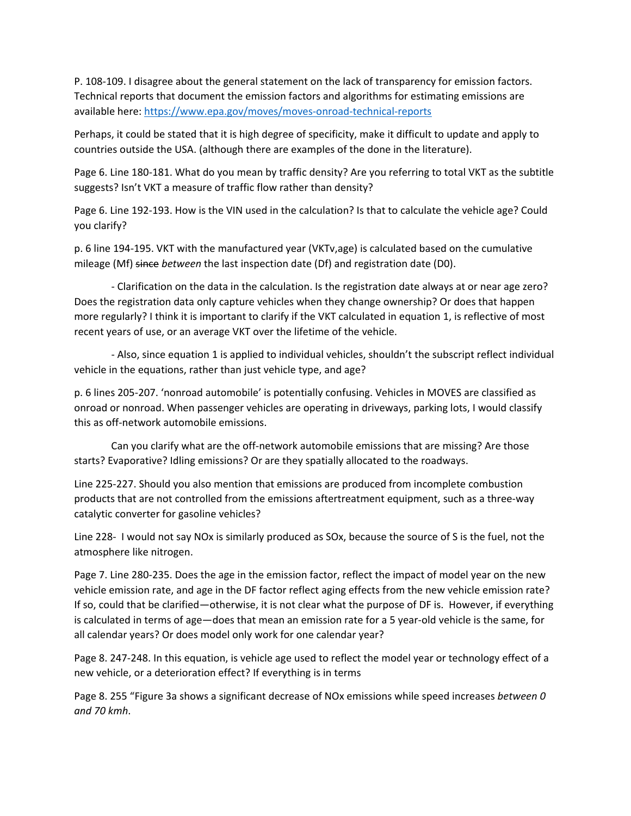P. 108-109. I disagree about the general statement on the lack of transparency for emission factors. Technical reports that document the emission factors and algorithms for estimating emissions are available here:<https://www.epa.gov/moves/moves-onroad-technical-reports>

Perhaps, it could be stated that it is high degree of specificity, make it difficult to update and apply to countries outside the USA. (although there are examples of the done in the literature).

Page 6. Line 180-181. What do you mean by traffic density? Are you referring to total VKT as the subtitle suggests? Isn't VKT a measure of traffic flow rather than density?

Page 6. Line 192-193. How is the VIN used in the calculation? Is that to calculate the vehicle age? Could you clarify?

p. 6 line 194-195. VKT with the manufactured year (VKTv,age) is calculated based on the cumulative mileage (Mf) since *between* the last inspection date (Df) and registration date (D0).

- Clarification on the data in the calculation. Is the registration date always at or near age zero? Does the registration data only capture vehicles when they change ownership? Or does that happen more regularly? I think it is important to clarify if the VKT calculated in equation 1, is reflective of most recent years of use, or an average VKT over the lifetime of the vehicle.

- Also, since equation 1 is applied to individual vehicles, shouldn't the subscript reflect individual vehicle in the equations, rather than just vehicle type, and age?

p. 6 lines 205-207. 'nonroad automobile' is potentially confusing. Vehicles in MOVES are classified as onroad or nonroad. When passenger vehicles are operating in driveways, parking lots, I would classify this as off-network automobile emissions.

Can you clarify what are the off-network automobile emissions that are missing? Are those starts? Evaporative? Idling emissions? Or are they spatially allocated to the roadways.

Line 225-227. Should you also mention that emissions are produced from incomplete combustion products that are not controlled from the emissions aftertreatment equipment, such as a three-way catalytic converter for gasoline vehicles?

Line 228- I would not say NOx is similarly produced as SOx, because the source of S is the fuel, not the atmosphere like nitrogen.

Page 7. Line 280-235. Does the age in the emission factor, reflect the impact of model year on the new vehicle emission rate, and age in the DF factor reflect aging effects from the new vehicle emission rate? If so, could that be clarified—otherwise, it is not clear what the purpose of DF is. However, if everything is calculated in terms of age—does that mean an emission rate for a 5 year-old vehicle is the same, for all calendar years? Or does model only work for one calendar year?

Page 8. 247-248. In this equation, is vehicle age used to reflect the model year or technology effect of a new vehicle, or a deterioration effect? If everything is in terms

Page 8. 255 "Figure 3a shows a significant decrease of NOx emissions while speed increases *between 0 and 70 kmh*.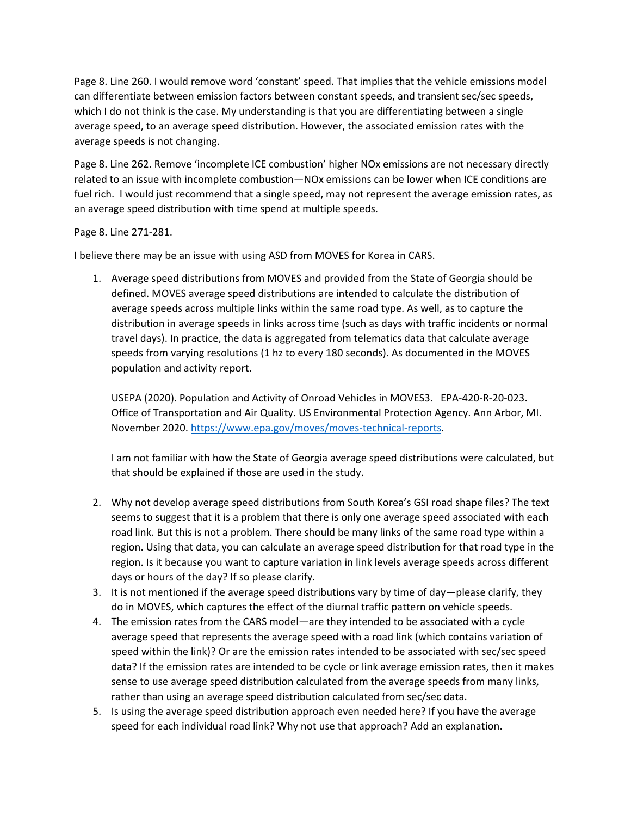Page 8. Line 260. I would remove word 'constant' speed. That implies that the vehicle emissions model can differentiate between emission factors between constant speeds, and transient sec/sec speeds, which I do not think is the case. My understanding is that you are differentiating between a single average speed, to an average speed distribution. However, the associated emission rates with the average speeds is not changing.

Page 8. Line 262. Remove 'incomplete ICE combustion' higher NOx emissions are not necessary directly related to an issue with incomplete combustion—NOx emissions can be lower when ICE conditions are fuel rich. I would just recommend that a single speed, may not represent the average emission rates, as an average speed distribution with time spend at multiple speeds.

## Page 8. Line 271-281.

I believe there may be an issue with using ASD from MOVES for Korea in CARS.

1. Average speed distributions from MOVES and provided from the State of Georgia should be defined. MOVES average speed distributions are intended to calculate the distribution of average speeds across multiple links within the same road type. As well, as to capture the distribution in average speeds in links across time (such as days with traffic incidents or normal travel days). In practice, the data is aggregated from telematics data that calculate average speeds from varying resolutions (1 hz to every 180 seconds). As documented in the MOVES population and activity report.

USEPA (2020). Population and Activity of Onroad Vehicles in MOVES3. EPA-420-R-20-023. Office of Transportation and Air Quality. US Environmental Protection Agency. Ann Arbor, MI. November 2020. [https://www.epa.gov/moves/moves-technical-reports.](https://www.epa.gov/moves/moves-technical-reports)

I am not familiar with how the State of Georgia average speed distributions were calculated, but that should be explained if those are used in the study.

- 2. Why not develop average speed distributions from South Korea's GSI road shape files? The text seems to suggest that it is a problem that there is only one average speed associated with each road link. But this is not a problem. There should be many links of the same road type within a region. Using that data, you can calculate an average speed distribution for that road type in the region. Is it because you want to capture variation in link levels average speeds across different days or hours of the day? If so please clarify.
- 3. It is not mentioned if the average speed distributions vary by time of day—please clarify, they do in MOVES, which captures the effect of the diurnal traffic pattern on vehicle speeds.
- 4. The emission rates from the CARS model—are they intended to be associated with a cycle average speed that represents the average speed with a road link (which contains variation of speed within the link)? Or are the emission rates intended to be associated with sec/sec speed data? If the emission rates are intended to be cycle or link average emission rates, then it makes sense to use average speed distribution calculated from the average speeds from many links, rather than using an average speed distribution calculated from sec/sec data.
- 5. Is using the average speed distribution approach even needed here? If you have the average speed for each individual road link? Why not use that approach? Add an explanation.